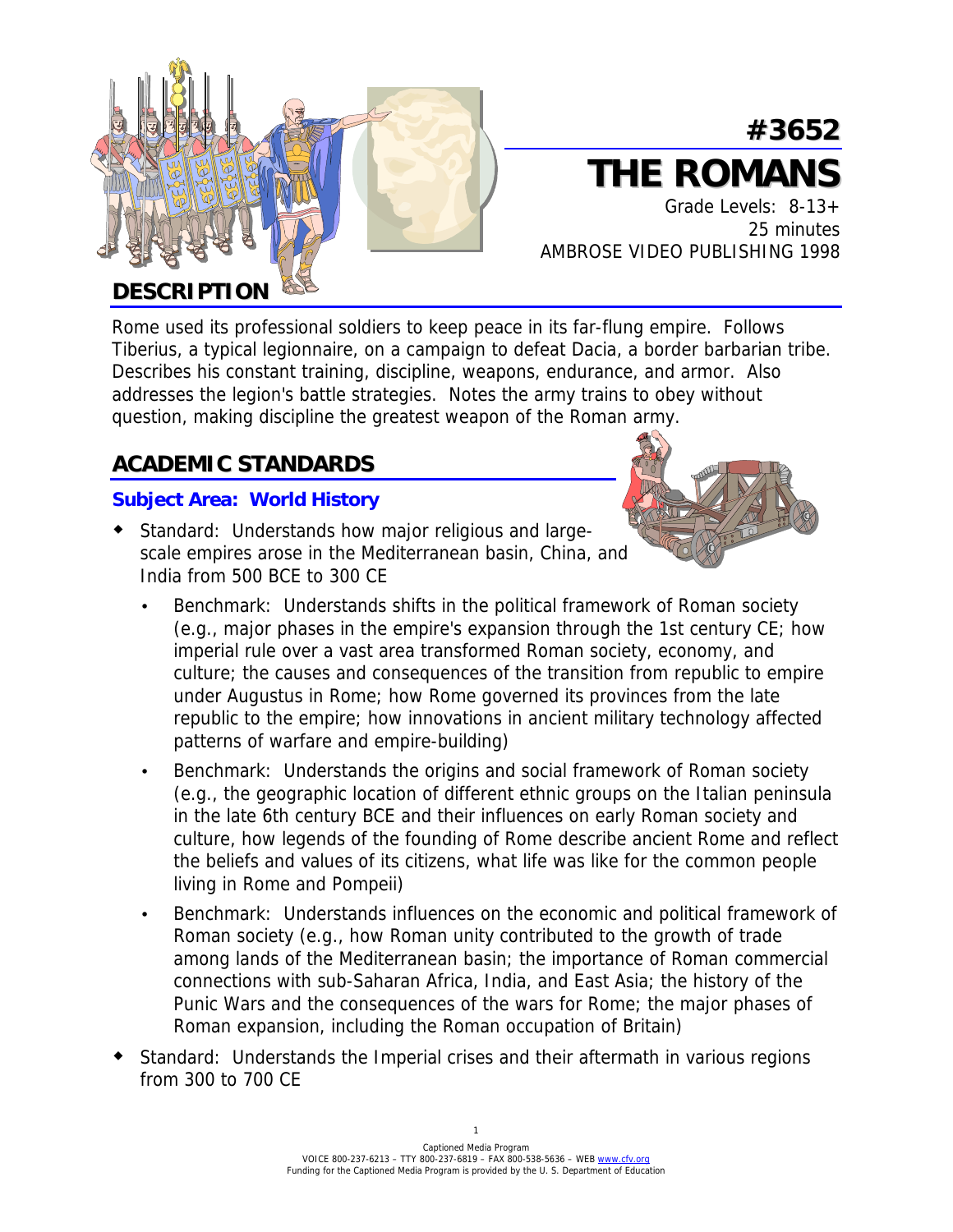

# **#3652 THE ROMANS**

 Grade Levels: 8-13+ 25 minutes AMBROSE VIDEO PUBLISHING 1998

## **DESCRIPTION**

Rome used its professional soldiers to keep peace in its far-flung empire. Follows Tiberius, a typical legionnaire, on a campaign to defeat Dacia, a border barbarian tribe. Describes his constant training, discipline, weapons, endurance, and armor. Also addresses the legion's battle strategies. Notes the army trains to obey without question, making discipline the greatest weapon of the Roman army.

## **ACADEMIC STANDARDS**

#### **Subject Area: World History**

! Standard: Understands how major religious and largescale empires arose in the Mediterranean basin, China, and India from 500 BCE to 300 CE



- Benchmark: Understands shifts in the political framework of Roman society (e.g., major phases in the empire's expansion through the 1st century CE; how imperial rule over a vast area transformed Roman society, economy, and culture; the causes and consequences of the transition from republic to empire under Augustus in Rome; how Rome governed its provinces from the late republic to the empire; how innovations in ancient military technology affected patterns of warfare and empire-building)
- Benchmark: Understands the origins and social framework of Roman society (e.g., the geographic location of different ethnic groups on the Italian peninsula in the late 6th century BCE and their influences on early Roman society and culture, how legends of the founding of Rome describe ancient Rome and reflect the beliefs and values of its citizens, what life was like for the common people living in Rome and Pompeii)
- Benchmark: Understands influences on the economic and political framework of Roman society (e.g., how Roman unity contributed to the growth of trade among lands of the Mediterranean basin; the importance of Roman commercial connections with sub-Saharan Africa, India, and East Asia; the history of the Punic Wars and the consequences of the wars for Rome; the major phases of Roman expansion, including the Roman occupation of Britain)
- ! Standard: Understands the Imperial crises and their aftermath in various regions from 300 to 700 CE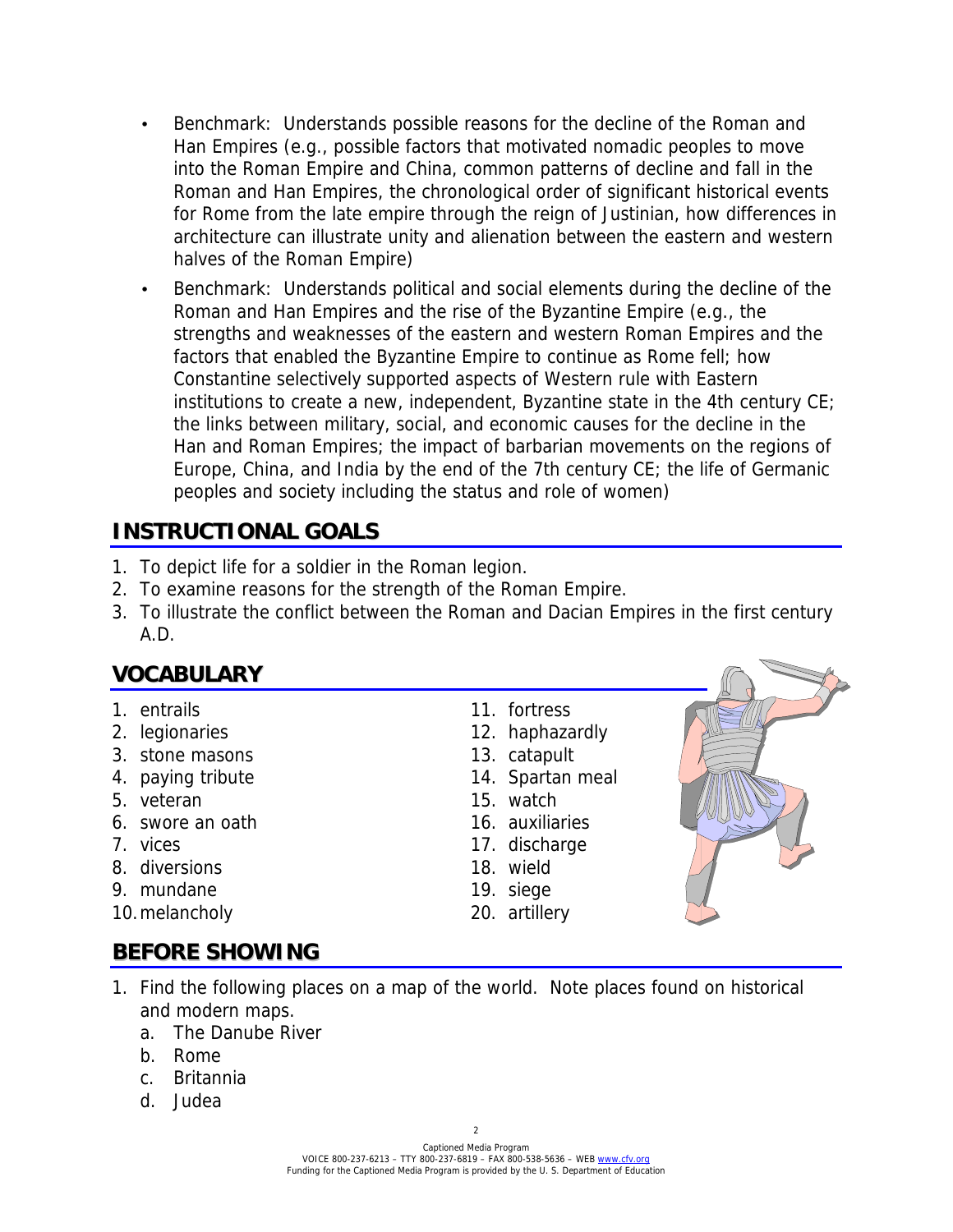- Benchmark: Understands possible reasons for the decline of the Roman and Han Empires (e.g., possible factors that motivated nomadic peoples to move into the Roman Empire and China, common patterns of decline and fall in the Roman and Han Empires, the chronological order of significant historical events for Rome from the late empire through the reign of Justinian, how differences in architecture can illustrate unity and alienation between the eastern and western halves of the Roman Empire)
- Benchmark: Understands political and social elements during the decline of the Roman and Han Empires and the rise of the Byzantine Empire (e.g., the strengths and weaknesses of the eastern and western Roman Empires and the factors that enabled the Byzantine Empire to continue as Rome fell; how Constantine selectively supported aspects of Western rule with Eastern institutions to create a new, independent, Byzantine state in the 4th century CE; the links between military, social, and economic causes for the decline in the Han and Roman Empires; the impact of barbarian movements on the regions of Europe, China, and India by the end of the 7th century CE; the life of Germanic peoples and society including the status and role of women)

## **INSTRUCTIONAL GOALS**

- 1. To depict life for a soldier in the Roman legion.
- 2. To examine reasons for the strength of the Roman Empire.
- 3. To illustrate the conflict between the Roman and Dacian Empires in the first century A.D.

## **VOCABULARY**

- 
- 2. legionaries 12. haphazardly
- 3. stone masons 13. catapult
- 4. paying tribute 14. Spartan meal
- 5. veteran 15. watch
- 6. swore an oath 16. auxiliaries
- 
- 8. diversions 18. wield
- 9. mundane 19. siege
- 10. melancholy 20. artillery

## 1. entrails 11. fortress

- 
- 
- 
- 
- 
- 7. vices 17. discharge
	-
	-
	-



## **BEFORE SHOWING**

- 1. Find the following places on a map of the world. Note places found on historical and modern maps.
	- a. The Danube River
	- b. Rome
	- c. Britannia
	- d. Judea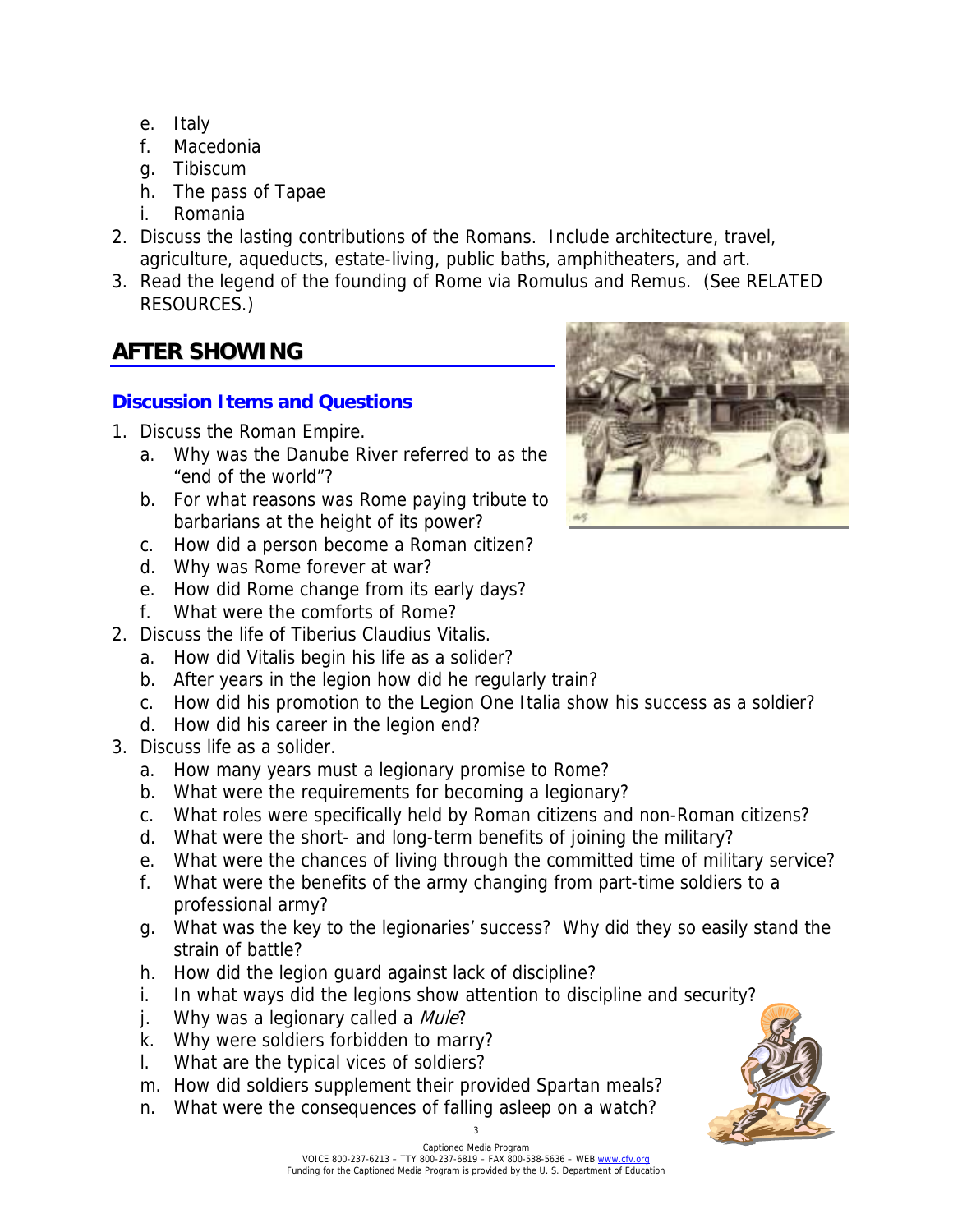- e. Italy
- f. Macedonia
- g. Tibiscum
- h. The pass of Tapae
- i. Romania
- 2. Discuss the lasting contributions of the Romans. Include architecture, travel, agriculture, aqueducts, estate-living, public baths, amphitheaters, and art.
- 3. Read the legend of the founding of Rome via Romulus and Remus. (See RELATED RESOURCES.)

## **AFTER SHOWING**

#### **Discussion Items and Questions**

- 1. Discuss the Roman Empire.
	- a. Why was the Danube River referred to as the "end of the world"?
	- b. For what reasons was Rome paying tribute to barbarians at the height of its power?
	- c. How did a person become a Roman citizen?
	- d. Why was Rome forever at war?
	- e. How did Rome change from its early days?
	- f. What were the comforts of Rome?
- 2. Discuss the life of Tiberius Claudius Vitalis.
	- a. How did Vitalis begin his life as a solider?
	- b. After years in the legion how did he regularly train?
	- c. How did his promotion to the Legion One Italia show his success as a soldier?
	- d. How did his career in the legion end?
- 3. Discuss life as a solider.
	- a. How many years must a legionary promise to Rome?
	- b. What were the requirements for becoming a legionary?
	- c. What roles were specifically held by Roman citizens and non-Roman citizens?
	- d. What were the short- and long-term benefits of joining the military?
	- e. What were the chances of living through the committed time of military service?
	- f. What were the benefits of the army changing from part-time soldiers to a professional army?
	- g. What was the key to the legionaries' success? Why did they so easily stand the strain of battle?
	- h. How did the legion guard against lack of discipline?
	- i. In what ways did the legions show attention to discipline and security?
	- j. Why was a legionary called a Mule?
	- k. Why were soldiers forbidden to marry?
	- l. What are the typical vices of soldiers?
	- m. How did soldiers supplement their provided Spartan meals?
	- n. What were the consequences of falling asleep on a watch?



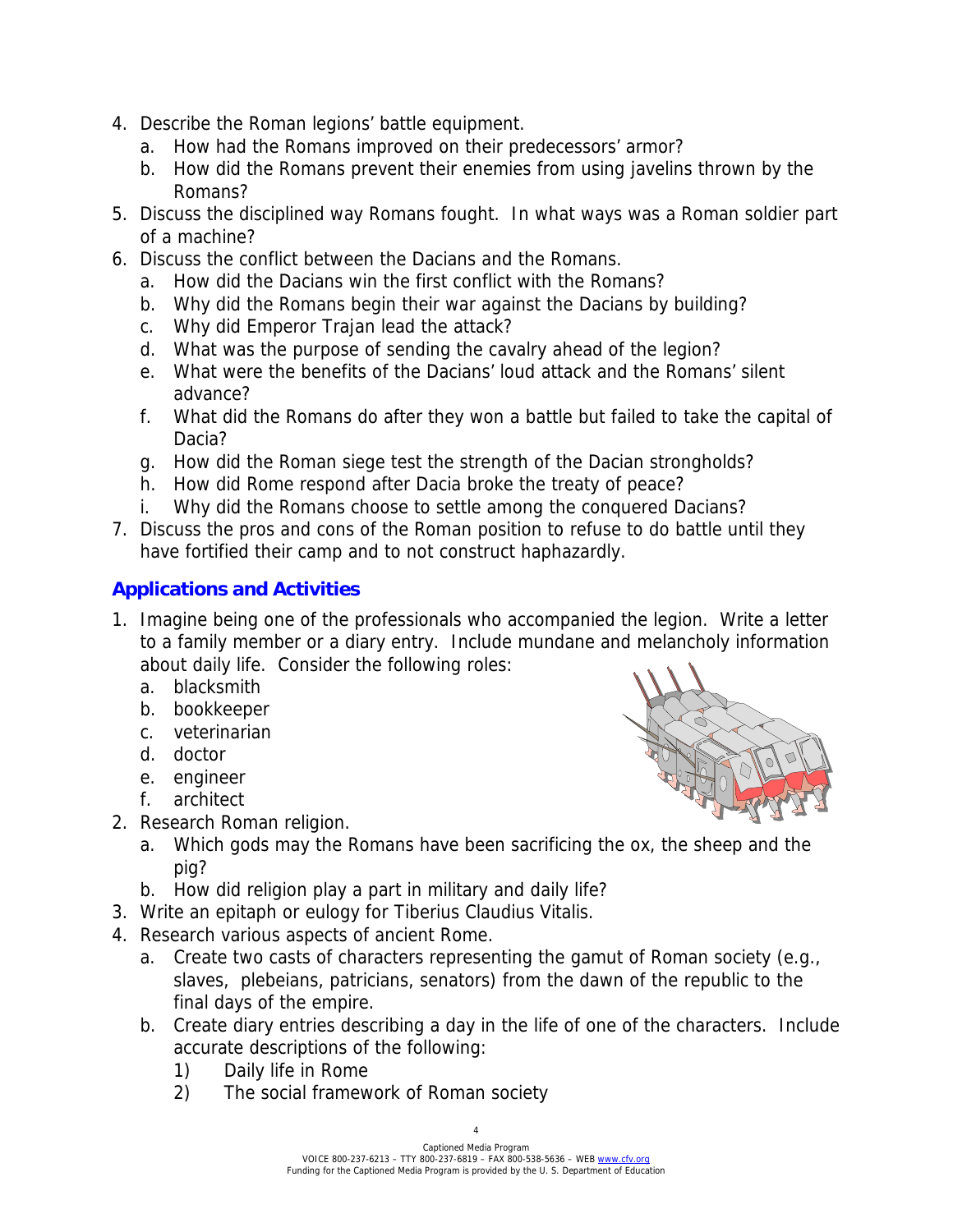- 4. Describe the Roman legions' battle equipment.
	- a. How had the Romans improved on their predecessors' armor?
	- b. How did the Romans prevent their enemies from using javelins thrown by the Romans?
- 5. Discuss the disciplined way Romans fought. In what ways was a Roman soldier part of a machine?
- 6. Discuss the conflict between the Dacians and the Romans.
	- a. How did the Dacians win the first conflict with the Romans?
	- b. Why did the Romans begin their war against the Dacians by building?
	- c. Why did Emperor Trajan lead the attack?
	- d. What was the purpose of sending the cavalry ahead of the legion?
	- e. What were the benefits of the Dacians' loud attack and the Romans' silent advance?
	- f. What did the Romans do after they won a battle but failed to take the capital of Dacia?
	- g. How did the Roman siege test the strength of the Dacian strongholds?
	- h. How did Rome respond after Dacia broke the treaty of peace?
	- i. Why did the Romans choose to settle among the conquered Dacians?
- 7. Discuss the pros and cons of the Roman position to refuse to do battle until they have fortified their camp and to not construct haphazardly.

#### **Applications and Activities**

- 1. Imagine being one of the professionals who accompanied the legion. Write a letter to a family member or a diary entry. Include mundane and melancholy information about daily life. Consider the following roles:
	- a. blacksmith
	- b. bookkeeper
	- c. veterinarian
	- d. doctor
	- e. engineer
	- f. architect
- 2. Research Roman religion.



- a. Which gods may the Romans have been sacrificing the ox, the sheep and the pig?
- b. How did religion play a part in military and daily life?
- 3. Write an epitaph or eulogy for Tiberius Claudius Vitalis.
- 4. Research various aspects of ancient Rome.
	- a. Create two casts of characters representing the gamut of Roman society (e.g., slaves, plebeians, patricians, senators) from the dawn of the republic to the final days of the empire.
	- b. Create diary entries describing a day in the life of one of the characters. Include accurate descriptions of the following:
		- 1) Daily life in Rome
		- 2) The social framework of Roman society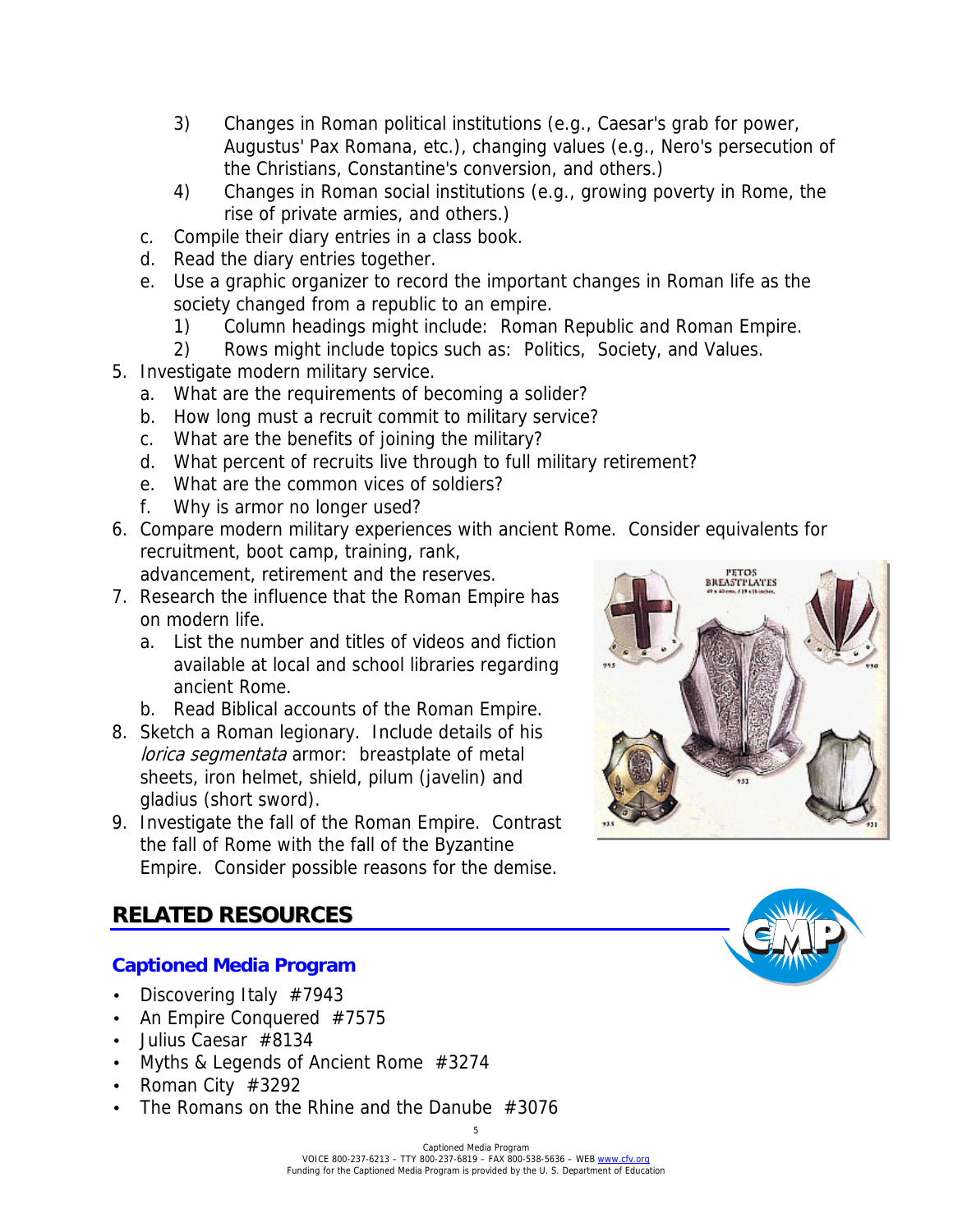- 3) Changes in Roman political institutions (e.g., Caesar's grab for power, Augustus' Pax Romana, etc.), changing values (e.g., Nero's persecution of the Christians, Constantine's conversion, and others.)
- 4) Changes in Roman social institutions (e.g., growing poverty in Rome, the rise of private armies, and others.)
- c. Compile their diary entries in a class book.
- d. Read the diary entries together.
- e. Use a graphic organizer to record the important changes in Roman life as the society changed from a republic to an empire.
	- 1) Column headings might include: Roman Republic and Roman Empire.
	- 2) Rows might include topics such as: Politics, Society, and Values.
- 5. Investigate modern military service.
	- a. What are the requirements of becoming a solider?
	- b. How long must a recruit commit to military service?
	- c. What are the benefits of joining the military?
	- d. What percent of recruits live through to full military retirement?
	- e. What are the common vices of soldiers?
	- f. Why is armor no longer used?
- 6. Compare modern military experiences with ancient Rome. Consider equivalents for recruitment, boot camp, training, rank,

advancement, retirement and the reserves.

- 7. Research the influence that the Roman Empire has on modern life.
	- a. List the number and titles of videos and fiction available at local and school libraries regarding ancient Rome.
	- b. Read Biblical accounts of the Roman Empire.
- 8. Sketch a Roman legionary. Include details of his lorica segmentata armor: breastplate of metal sheets, iron helmet, shield, pilum (javelin) and gladius (short sword).
- 9. Investigate the fall of the Roman Empire. Contrast the fall of Rome with the fall of the Byzantine Empire. Consider possible reasons for the demise.



## **RELATED RESOURCES**

#### **Captioned Media Program**

- Discovering Italy #7943
- An Empire Conquered #7575
- Julius Caesar #8134
- Myths & Legends of Ancient Rome #3274
- Roman City #3292
- The Romans on the Rhine and the Danube #3076